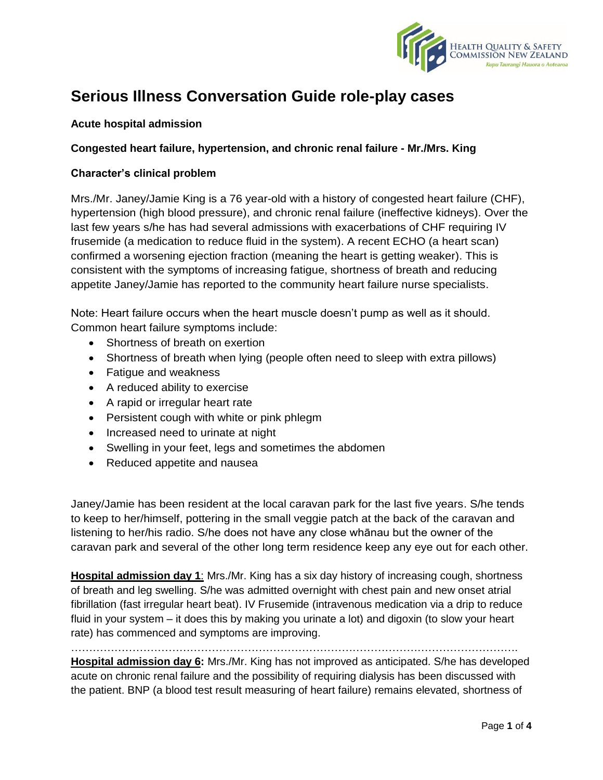

# **Serious Illness Conversation Guide role-play cases**

# **Acute hospital admission**

# **Congested heart failure, hypertension, and chronic renal failure - Mr./Mrs. King**

### **Character's clinical problem**

Mrs./Mr. Janey/Jamie King is a 76 year-old with a history of congested heart failure (CHF), hypertension (high blood pressure), and chronic renal failure (ineffective kidneys). Over the last few years s/he has had several admissions with exacerbations of CHF requiring IV frusemide (a medication to reduce fluid in the system). A recent ECHO (a heart scan) confirmed a worsening ejection fraction (meaning the heart is getting weaker). This is consistent with the symptoms of increasing fatigue, shortness of breath and reducing appetite Janey/Jamie has reported to the community heart failure nurse specialists.

Note: Heart failure occurs when the heart muscle doesn't pump as well as it should. Common heart failure symptoms include:

- Shortness of breath on exertion
- Shortness of breath when lying (people often need to sleep with extra pillows)
- Fatigue and weakness
- A reduced ability to exercise
- A rapid or irregular heart rate
- Persistent cough with white or pink phlegm
- Increased need to urinate at night
- Swelling in your feet, legs and sometimes the abdomen
- Reduced appetite and nausea

Janey/Jamie has been resident at the local caravan park for the last five years. S/he tends to keep to her/himself, pottering in the small veggie patch at the back of the caravan and listening to her/his radio. S/he does not have any close whānau but the owner of the caravan park and several of the other long term residence keep any eye out for each other.

**Hospital admission day 1**: Mrs./Mr. King has a six day history of increasing cough, shortness of breath and leg swelling. S/he was admitted overnight with chest pain and new onset atrial fibrillation (fast irregular heart beat). IV Frusemide (intravenous medication via a drip to reduce fluid in your system – it does this by making you urinate a lot) and digoxin (to slow your heart rate) has commenced and symptoms are improving.

…………………………………………………………………………………………………………….

**Hospital admission day 6:** Mrs./Mr. King has not improved as anticipated. S/he has developed acute on chronic renal failure and the possibility of requiring dialysis has been discussed with the patient. BNP (a blood test result measuring of heart failure) remains elevated, shortness of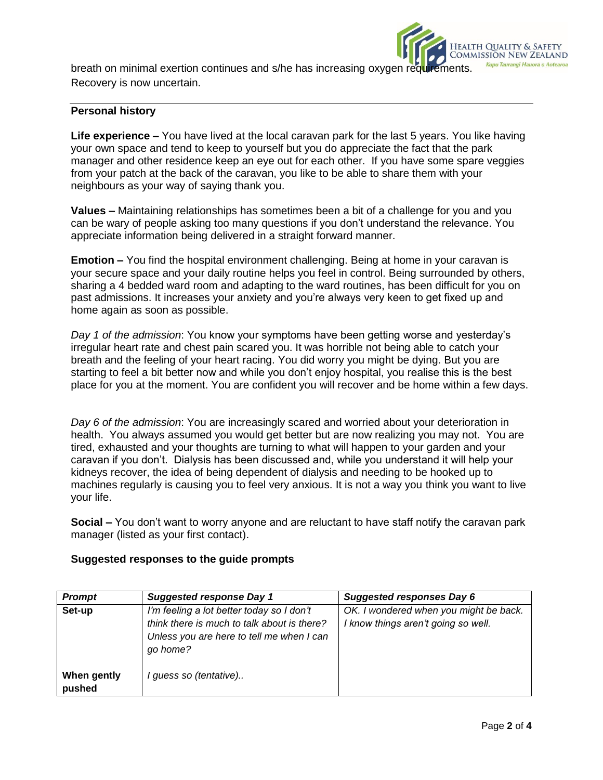breath on minimal exertion continues and s/he has increasing oxygen requirements. Recovery is now uncertain.

## **Personal history**

**Life experience –** You have lived at the local caravan park for the last 5 years. You like having your own space and tend to keep to yourself but you do appreciate the fact that the park manager and other residence keep an eye out for each other. If you have some spare veggies from your patch at the back of the caravan, you like to be able to share them with your neighbours as your way of saying thank you.

**Values –** Maintaining relationships has sometimes been a bit of a challenge for you and you can be wary of people asking too many questions if you don't understand the relevance. You appreciate information being delivered in a straight forward manner.

**Emotion –** You find the hospital environment challenging. Being at home in your caravan is your secure space and your daily routine helps you feel in control. Being surrounded by others, sharing a 4 bedded ward room and adapting to the ward routines, has been difficult for you on past admissions. It increases your anxiety and you're always very keen to get fixed up and home again as soon as possible.

*Day 1 of the admission*: You know your symptoms have been getting worse and yesterday's irregular heart rate and chest pain scared you. It was horrible not being able to catch your breath and the feeling of your heart racing. You did worry you might be dying. But you are starting to feel a bit better now and while you don't enjoy hospital, you realise this is the best place for you at the moment. You are confident you will recover and be home within a few days.

*Day 6 of the admission*: You are increasingly scared and worried about your deterioration in health. You always assumed you would get better but are now realizing you may not. You are tired, exhausted and your thoughts are turning to what will happen to your garden and your caravan if you don't. Dialysis has been discussed and, while you understand it will help your kidneys recover, the idea of being dependent of dialysis and needing to be hooked up to machines regularly is causing you to feel very anxious. It is not a way you think you want to live your life.

**Social –** You don't want to worry anyone and are reluctant to have staff notify the caravan park manager (listed as your first contact).

| <b>Prompt</b>         | <b>Suggested response Day 1</b>                                                                                                                   | <b>Suggested responses Day 6</b>                                              |
|-----------------------|---------------------------------------------------------------------------------------------------------------------------------------------------|-------------------------------------------------------------------------------|
| Set-up                | I'm feeling a lot better today so I don't<br>think there is much to talk about is there?<br>Unless you are here to tell me when I can<br>go home? | OK. I wondered when you might be back.<br>I know things aren't going so well. |
| When gently<br>pushed | guess so (tentative)                                                                                                                              |                                                                               |

#### **Suggested responses to the guide prompts**

Health Quality & Safety<br>Commission New Zealand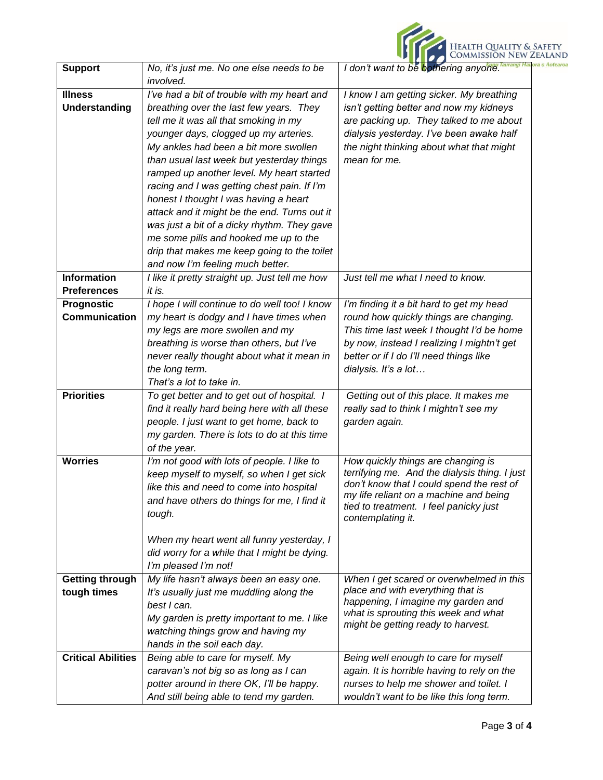|                                                                                                                                       | Health Quality & Safety<br>Commission New Zealand |
|---------------------------------------------------------------------------------------------------------------------------------------|---------------------------------------------------|
| No, it's just me. No one else needs to be<br>I don't want to be bothering anyone.<br><b>Support</b><br><i>involved.</i>               |                                                   |
| <b>Illness</b><br>I've had a bit of trouble with my heart and<br>I know I am getting sicker. My breathing                             |                                                   |
| <b>Understanding</b><br>isn't getting better and now my kidneys<br>breathing over the last few years. They                            |                                                   |
| tell me it was all that smoking in my<br>are packing up. They talked to me about                                                      |                                                   |
| younger days, clogged up my arteries.<br>dialysis yesterday. I've been awake half                                                     |                                                   |
| My ankles had been a bit more swollen<br>the night thinking about what that might                                                     |                                                   |
| mean for me.<br>than usual last week but yesterday things                                                                             |                                                   |
| ramped up another level. My heart started                                                                                             |                                                   |
| racing and I was getting chest pain. If I'm                                                                                           |                                                   |
| honest I thought I was having a heart                                                                                                 |                                                   |
| attack and it might be the end. Turns out it                                                                                          |                                                   |
| was just a bit of a dicky rhythm. They gave                                                                                           |                                                   |
| me some pills and hooked me up to the<br>drip that makes me keep going to the toilet                                                  |                                                   |
| and now I'm feeling much better.                                                                                                      |                                                   |
| <b>Information</b><br>Just tell me what I need to know.<br>I like it pretty straight up. Just tell me how                             |                                                   |
| <b>Preferences</b><br>it is.                                                                                                          |                                                   |
| Prognostic<br>I'm finding it a bit hard to get my head<br>I hope I will continue to do well too! I know                               |                                                   |
| <b>Communication</b><br>round how quickly things are changing.<br>my heart is dodgy and I have times when                             |                                                   |
| my legs are more swollen and my<br>This time last week I thought I'd be home                                                          |                                                   |
| breathing is worse than others, but I've<br>by now, instead I realizing I mightn't get                                                |                                                   |
| never really thought about what it mean in<br>better or if I do I'll need things like                                                 |                                                   |
| the long term.<br>dialysis. It's a lot                                                                                                |                                                   |
| That's a lot to take in.                                                                                                              |                                                   |
| <b>Priorities</b><br>To get better and to get out of hospital. I<br>Getting out of this place. It makes me                            |                                                   |
| find it really hard being here with all these<br>really sad to think I mightn't see my                                                |                                                   |
| people. I just want to get home, back to<br>garden again.                                                                             |                                                   |
| my garden. There is lots to do at this time<br>of the year.                                                                           |                                                   |
| How quickly things are changing is<br>I'm not good with lots of people. I like to<br><b>Worries</b>                                   |                                                   |
| terrifying me. And the dialysis thing. I just<br>keep myself to myself, so when I get sick                                            |                                                   |
| don't know that I could spend the rest of<br>like this and need to come into hospital                                                 |                                                   |
| my life reliant on a machine and being<br>and have others do things for me, I find it                                                 |                                                   |
| tied to treatment. I feel panicky just<br>tough.<br>contemplating it.                                                                 |                                                   |
|                                                                                                                                       |                                                   |
| When my heart went all funny yesterday, I                                                                                             |                                                   |
| did worry for a while that I might be dying.                                                                                          |                                                   |
| I'm pleased I'm not!                                                                                                                  |                                                   |
| My life hasn't always been an easy one.<br><b>Getting through</b><br>When I get scared or overwhelmed in this                         |                                                   |
| place and with everything that is<br>tough times<br>It's usually just me muddling along the<br>happening, I imagine my garden and     |                                                   |
| best I can.<br>what is sprouting this week and what                                                                                   |                                                   |
| My garden is pretty important to me. I like<br>might be getting ready to harvest.                                                     |                                                   |
| watching things grow and having my                                                                                                    |                                                   |
| hands in the soil each day.<br><b>Critical Abilities</b><br>Being able to care for myself. My<br>Being well enough to care for myself |                                                   |
| caravan's not big so as long as I can<br>again. It is horrible having to rely on the                                                  |                                                   |
| potter around in there OK, I'll be happy.<br>nurses to help me shower and toilet. I                                                   |                                                   |
| And still being able to tend my garden.<br>wouldn't want to be like this long term.                                                   |                                                   |